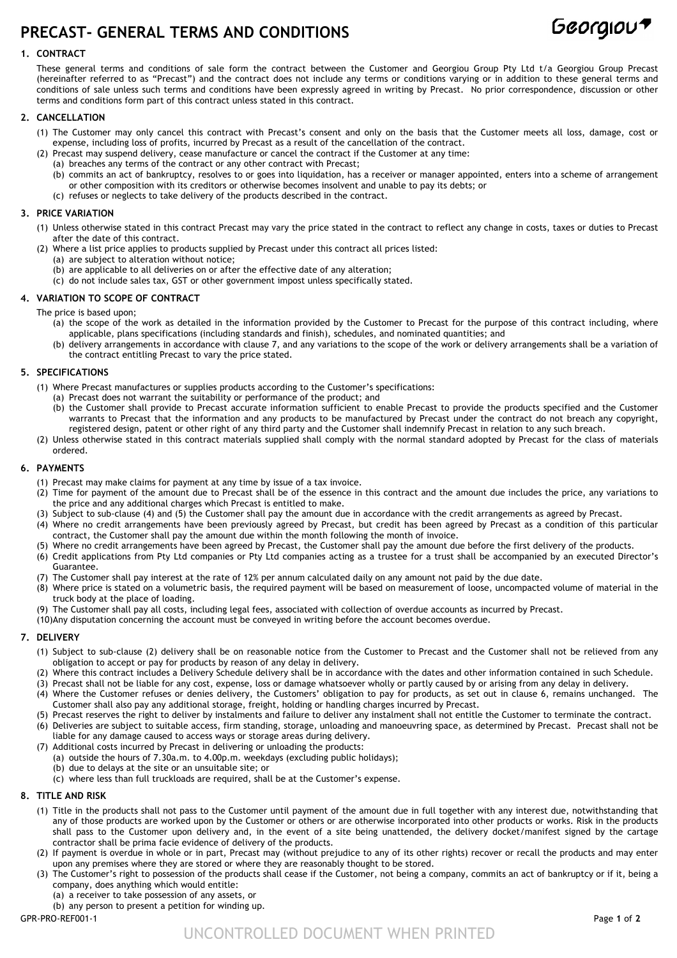# **PRECAST- GENERAL TERMS AND CONDITIONS**



## **1. CONTRACT**

These general terms and conditions of sale form the contract between the Customer and Georgiou Group Pty Ltd t/a Georgiou Group Precast (hereinafter referred to as "Precast") and the contract does not include any terms or conditions varying or in addition to these general terms and conditions of sale unless such terms and conditions have been expressly agreed in writing by Precast. No prior correspondence, discussion or other terms and conditions form part of this contract unless stated in this contract.

## **2. CANCELLATION**

- (1) The Customer may only cancel this contract with Precast's consent and only on the basis that the Customer meets all loss, damage, cost or expense, including loss of profits, incurred by Precast as a result of the cancellation of the contract.
- (2) Precast may suspend delivery, cease manufacture or cancel the contract if the Customer at any time:
	- (a) breaches any terms of the contract or any other contract with Precast;
	- (b) commits an act of bankruptcy, resolves to or goes into liquidation, has a receiver or manager appointed, enters into a scheme of arrangement or other composition with its creditors or otherwise becomes insolvent and unable to pay its debts; or
	- (c) refuses or neglects to take delivery of the products described in the contract.

### **3. PRICE VARIATION**

- (1) Unless otherwise stated in this contract Precast may vary the price stated in the contract to reflect any change in costs, taxes or duties to Precast after the date of this contract.
- (2) Where a list price applies to products supplied by Precast under this contract all prices listed:
	- (a) are subject to alteration without notice;
	- (b) are applicable to all deliveries on or after the effective date of any alteration;
	- (c) do not include sales tax, GST or other government impost unless specifically stated.

## **4. VARIATION TO SCOPE OF CONTRACT**

- The price is based upon;
	- (a) the scope of the work as detailed in the information provided by the Customer to Precast for the purpose of this contract including, where applicable, plans specifications (including standards and finish), schedules, and nominated quantities; and
	- (b) delivery arrangements in accordance with clause 7, and any variations to the scope of the work or delivery arrangements shall be a variation of the contract entitling Precast to vary the price stated.

## **5. SPECIFICATIONS**

- (1) Where Precast manufactures or supplies products according to the Customer's specifications:
	- (a) Precast does not warrant the suitability or performance of the product; and
	- (b) the Customer shall provide to Precast accurate information sufficient to enable Precast to provide the products specified and the Customer warrants to Precast that the information and any products to be manufactured by Precast under the contract do not breach any copyright, registered design, patent or other right of any third party and the Customer shall indemnify Precast in relation to any such breach.
- (2) Unless otherwise stated in this contract materials supplied shall comply with the normal standard adopted by Precast for the class of materials ordered.

## **6. PAYMENTS**

- (1) Precast may make claims for payment at any time by issue of a tax invoice.
- (2) Time for payment of the amount due to Precast shall be of the essence in this contract and the amount due includes the price, any variations to the price and any additional charges which Precast is entitled to make.
- (3) Subject to sub-clause (4) and (5) the Customer shall pay the amount due in accordance with the credit arrangements as agreed by Precast.
- (4) Where no credit arrangements have been previously agreed by Precast, but credit has been agreed by Precast as a condition of this particular contract, the Customer shall pay the amount due within the month following the month of invoice.
- (5) Where no credit arrangements have been agreed by Precast, the Customer shall pay the amount due before the first delivery of the products.
- (6) Credit applications from Pty Ltd companies or Pty Ltd companies acting as a trustee for a trust shall be accompanied by an executed Director's Guarantee.
- (7) The Customer shall pay interest at the rate of 12% per annum calculated daily on any amount not paid by the due date.
- (8) Where price is stated on a volumetric basis, the required payment will be based on measurement of loose, uncompacted volume of material in the truck body at the place of loading.
- (9) The Customer shall pay all costs, including legal fees, associated with collection of overdue accounts as incurred by Precast.
- (10)Any disputation concerning the account must be conveyed in writing before the account becomes overdue.

#### **7. DELIVERY**

- (1) Subject to sub-clause (2) delivery shall be on reasonable notice from the Customer to Precast and the Customer shall not be relieved from any obligation to accept or pay for products by reason of any delay in delivery.
- (2) Where this contract includes a Delivery Schedule delivery shall be in accordance with the dates and other information contained in such Schedule.
- (3) Precast shall not be liable for any cost, expense, loss or damage whatsoever wholly or partly caused by or arising from any delay in delivery. (4) Where the Customer refuses or denies delivery, the Customers' obligation to pay for products, as set out in clause 6, remains unchanged. The
- Customer shall also pay any additional storage, freight, holding or handling charges incurred by Precast. (5) Precast reserves the right to deliver by instalments and failure to deliver any instalment shall not entitle the Customer to terminate the contract.
- (6) Deliveries are subject to suitable access, firm standing, storage, unloading and manoeuvring space, as determined by Precast. Precast shall not be liable for any damage caused to access ways or storage areas during delivery.
- (7) Additional costs incurred by Precast in delivering or unloading the products:
	- (a) outside the hours of 7.30a.m. to 4.00p.m. weekdays (excluding public holidays);
	- (b) due to delays at the site or an unsuitable site; or
	- (c) where less than full truckloads are required, shall be at the Customer's expense.

## **8. TITLE AND RISK**

- (1) Title in the products shall not pass to the Customer until payment of the amount due in full together with any interest due, notwithstanding that any of those products are worked upon by the Customer or others or are otherwise incorporated into other products or works. Risk in the products shall pass to the Customer upon delivery and, in the event of a site being unattended, the delivery docket/manifest signed by the cartage contractor shall be prima facie evidence of delivery of the products.
- (2) If payment is overdue in whole or in part, Precast may (without prejudice to any of its other rights) recover or recall the products and may enter upon any premises where they are stored or where they are reasonably thought to be stored.
- (3) The Customer's right to possession of the products shall cease if the Customer, not being a company, commits an act of bankruptcy or if it, being a company, does anything which would entitle:
	- (a) a receiver to take possession of any assets, or
	- (b) any person to present a petition for winding up.

GPR-PRO-REF001-1 Page **1** of **2**